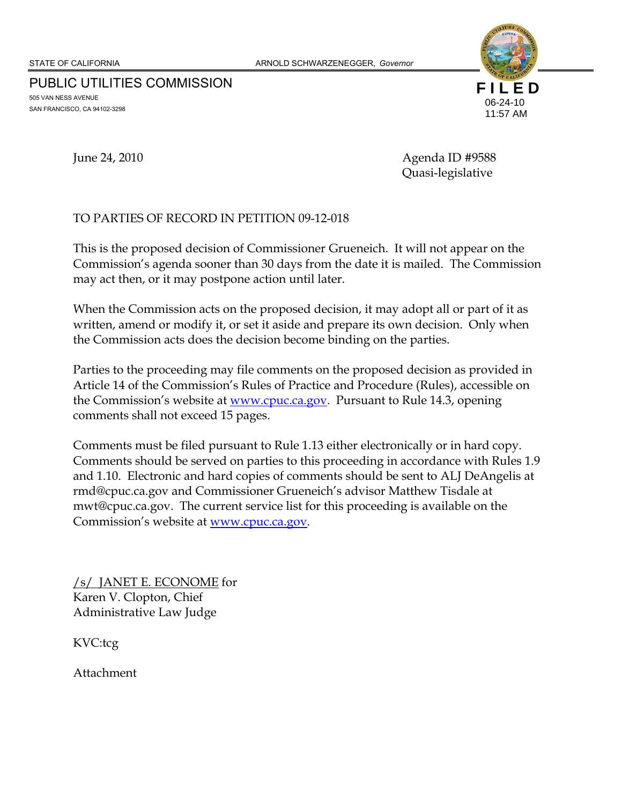PUBLIC UTILITIES COMMISSION 505 VAN NESS AVENUE SAN FRANCISCO, CA 94102-3298



June 24, 2010 Agenda ID #9588 Quasi-legislative

### TO PARTIES OF RECORD IN PETITION 09-12-018

This is the proposed decision of Commissioner Grueneich. It will not appear on the Commission's agenda sooner than 30 days from the date it is mailed. The Commission may act then, or it may postpone action until later.

When the Commission acts on the proposed decision, it may adopt all or part of it as written, amend or modify it, or set it aside and prepare its own decision. Only when the Commission acts does the decision become binding on the parties.

Parties to the proceeding may file comments on the proposed decision as provided in Article 14 of the Commission's Rules of Practice and Procedure (Rules), accessible on the Commission's website at <u>www.cpuc.ca.gov</u>. Pursuant to Rule 14.3, opening comments shall not exceed 15 pages.

Comments must be filed pursuant to Rule 1.13 either electronically or in hard copy. Comments should be served on parties to this proceeding in accordance with Rules 1.9 and 1.10. Electronic and hard copies of comments should be sent to ALJ DeAngelis at rmd@cpuc.ca.gov and Commissioner Grueneich's advisor Matthew Tisdale at mwt@cpuc.ca.gov. The current service list for this proceeding is available on the Commission's website at www.cpuc.ca.gov.

/s/ JANET E. ECONOME for Karen V. Clopton, Chief Administrative Law Judge

KVC:tcg

Attachment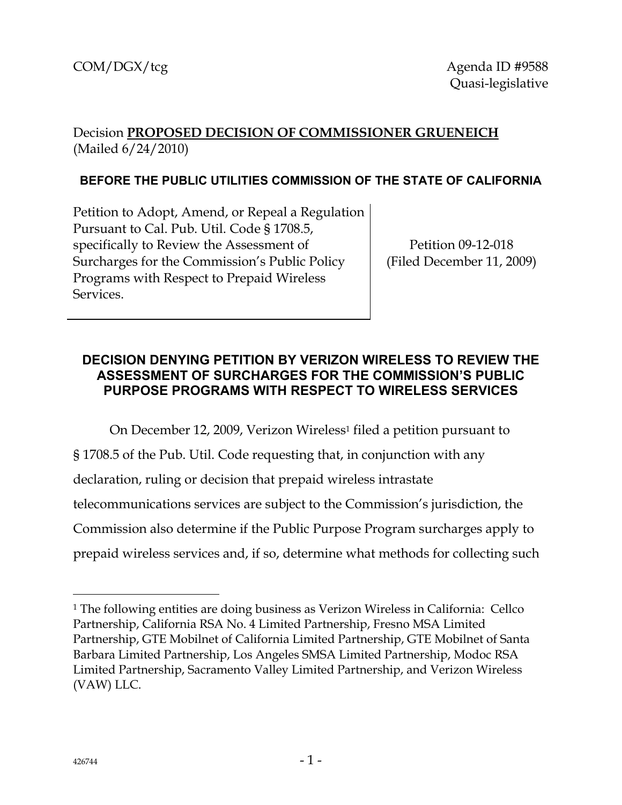# Decision **PROPOSED DECISION OF COMMISSIONER GRUENEICH**  (Mailed 6/24/2010)

## **BEFORE THE PUBLIC UTILITIES COMMISSION OF THE STATE OF CALIFORNIA**

Petition to Adopt, Amend, or Repeal a Regulation Pursuant to Cal. Pub. Util. Code § 1708.5, specifically to Review the Assessment of Surcharges for the Commission's Public Policy Programs with Respect to Prepaid Wireless Services.

Petition 09-12-018 (Filed December 11, 2009)

## **DECISION DENYING PETITION BY VERIZON WIRELESS TO REVIEW THE ASSESSMENT OF SURCHARGES FOR THE COMMISSION'S PUBLIC PURPOSE PROGRAMS WITH RESPECT TO WIRELESS SERVICES**

On December 12, 2009, Verizon Wireless<sup>1</sup> filed a petition pursuant to § 1708.5 of the Pub. Util. Code requesting that, in conjunction with any declaration, ruling or decision that prepaid wireless intrastate telecommunications services are subject to the Commission's jurisdiction, the Commission also determine if the Public Purpose Program surcharges apply to prepaid wireless services and, if so, determine what methods for collecting such

 $\overline{a}$ 

<sup>1</sup> The following entities are doing business as Verizon Wireless in California: Cellco Partnership, California RSA No. 4 Limited Partnership, Fresno MSA Limited Partnership, GTE Mobilnet of California Limited Partnership, GTE Mobilnet of Santa Barbara Limited Partnership, Los Angeles SMSA Limited Partnership, Modoc RSA Limited Partnership, Sacramento Valley Limited Partnership, and Verizon Wireless (VAW) LLC.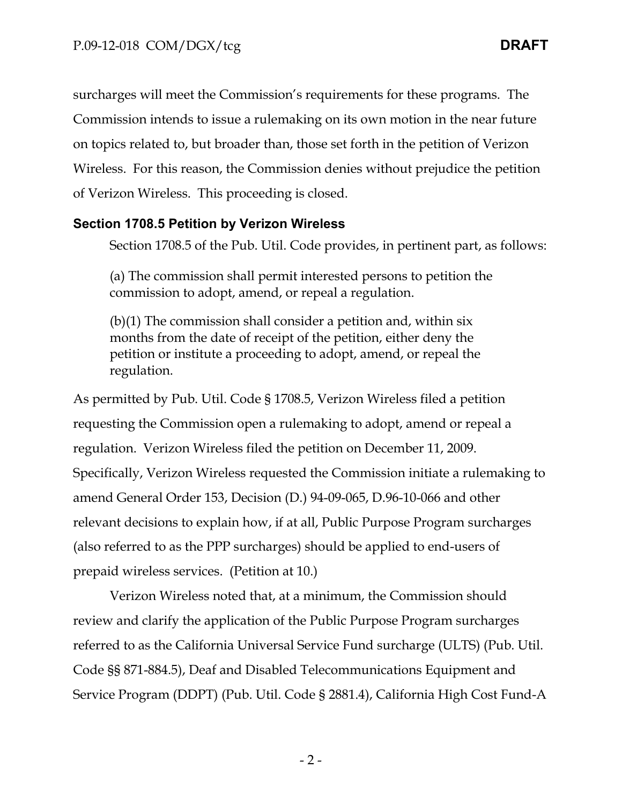surcharges will meet the Commission's requirements for these programs. The Commission intends to issue a rulemaking on its own motion in the near future on topics related to, but broader than, those set forth in the petition of Verizon Wireless. For this reason, the Commission denies without prejudice the petition of Verizon Wireless. This proceeding is closed.

### **Section 1708.5 Petition by Verizon Wireless**

Section 1708.5 of the Pub. Util. Code provides, in pertinent part, as follows:

(a) The commission shall permit interested persons to petition the commission to adopt, amend, or repeal a regulation.

(b)(1) The commission shall consider a petition and, within six months from the date of receipt of the petition, either deny the petition or institute a proceeding to adopt, amend, or repeal the regulation.

As permitted by Pub. Util. Code § 1708.5, Verizon Wireless filed a petition requesting the Commission open a rulemaking to adopt, amend or repeal a regulation. Verizon Wireless filed the petition on December 11, 2009. Specifically, Verizon Wireless requested the Commission initiate a rulemaking to amend General Order 153, Decision (D.) 94-09-065, D.96-10-066 and other relevant decisions to explain how, if at all, Public Purpose Program surcharges (also referred to as the PPP surcharges) should be applied to end-users of prepaid wireless services. (Petition at 10.)

Verizon Wireless noted that, at a minimum, the Commission should review and clarify the application of the Public Purpose Program surcharges referred to as the California Universal Service Fund surcharge (ULTS) (Pub. Util. Code §§ 871-884.5), Deaf and Disabled Telecommunications Equipment and Service Program (DDPT) (Pub. Util. Code § 2881.4), California High Cost Fund-A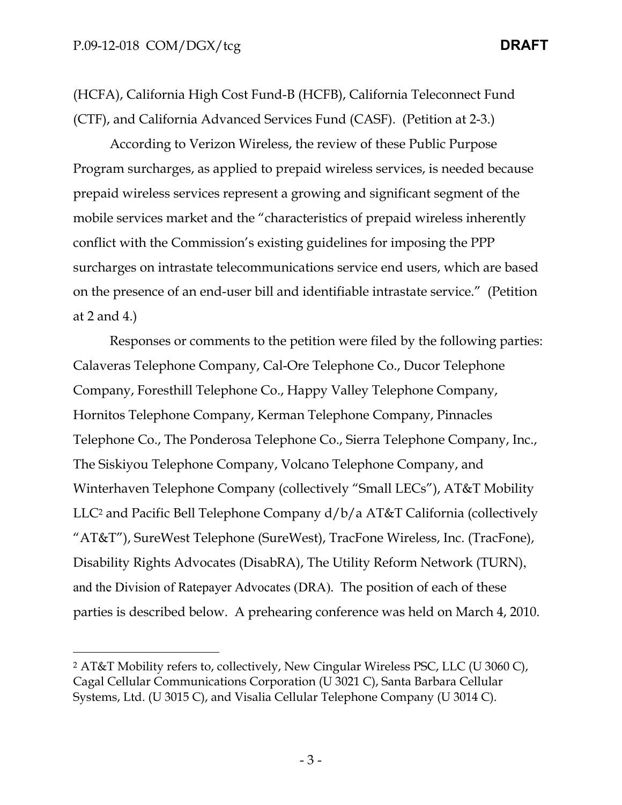$\overline{a}$ 

(HCFA), California High Cost Fund-B (HCFB), California Teleconnect Fund (CTF), and California Advanced Services Fund (CASF). (Petition at 2-3.)

According to Verizon Wireless, the review of these Public Purpose Program surcharges, as applied to prepaid wireless services, is needed because prepaid wireless services represent a growing and significant segment of the mobile services market and the "characteristics of prepaid wireless inherently conflict with the Commission's existing guidelines for imposing the PPP surcharges on intrastate telecommunications service end users, which are based on the presence of an end-user bill and identifiable intrastate service." (Petition at 2 and 4.)

Responses or comments to the petition were filed by the following parties: Calaveras Telephone Company, Cal-Ore Telephone Co., Ducor Telephone Company, Foresthill Telephone Co., Happy Valley Telephone Company, Hornitos Telephone Company, Kerman Telephone Company, Pinnacles Telephone Co., The Ponderosa Telephone Co., Sierra Telephone Company, Inc., The Siskiyou Telephone Company, Volcano Telephone Company, and Winterhaven Telephone Company (collectively "Small LECs"), AT&T Mobility LLC2 and Pacific Bell Telephone Company d/b/a AT&T California (collectively "AT&T"), SureWest Telephone (SureWest), TracFone Wireless, Inc. (TracFone), Disability Rights Advocates (DisabRA), The Utility Reform Network (TURN), and the Division of Ratepayer Advocates (DRA). The position of each of these parties is described below. A prehearing conference was held on March 4, 2010.

<sup>2</sup> AT&T Mobility refers to, collectively, New Cingular Wireless PSC, LLC (U 3060 C), Cagal Cellular Communications Corporation (U 3021 C), Santa Barbara Cellular Systems, Ltd. (U 3015 C), and Visalia Cellular Telephone Company (U 3014 C).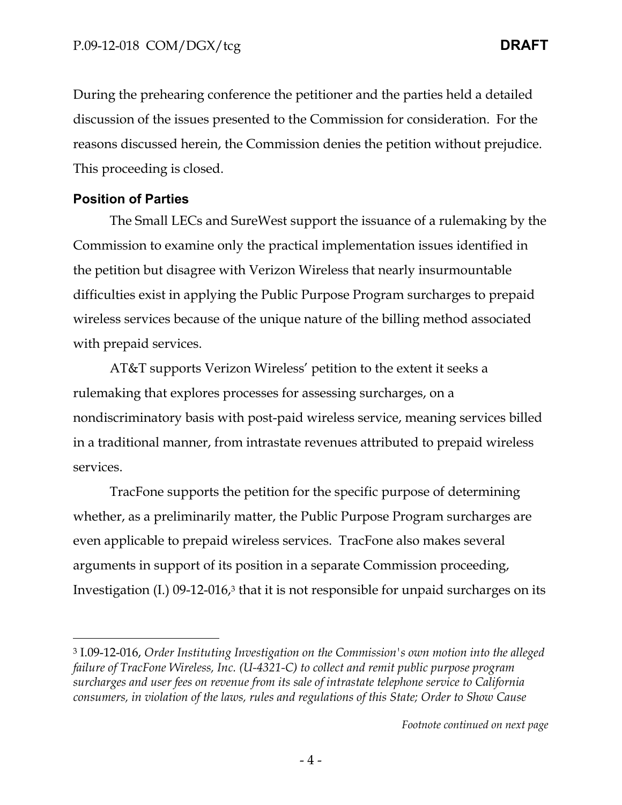During the prehearing conference the petitioner and the parties held a detailed discussion of the issues presented to the Commission for consideration. For the reasons discussed herein, the Commission denies the petition without prejudice. This proceeding is closed.

### **Position of Parties**

-

The Small LECs and SureWest support the issuance of a rulemaking by the Commission to examine only the practical implementation issues identified in the petition but disagree with Verizon Wireless that nearly insurmountable difficulties exist in applying the Public Purpose Program surcharges to prepaid wireless services because of the unique nature of the billing method associated with prepaid services.

AT&T supports Verizon Wireless' petition to the extent it seeks a rulemaking that explores processes for assessing surcharges, on a nondiscriminatory basis with post-paid wireless service, meaning services billed in a traditional manner, from intrastate revenues attributed to prepaid wireless services.

TracFone supports the petition for the specific purpose of determining whether, as a preliminarily matter, the Public Purpose Program surcharges are even applicable to prepaid wireless services. TracFone also makes several arguments in support of its position in a separate Commission proceeding, Investigation  $(I)$  09-12-016,<sup>3</sup> that it is not responsible for unpaid surcharges on its

<sup>3</sup> I.09-12-016, *Order Instituting Investigation on the Commission's own motion into the alleged failure of TracFone Wireless, Inc. (U-4321-C) to collect and remit public purpose program surcharges and user fees on revenue from its sale of intrastate telephone service to California consumers, in violation of the laws, rules and regulations of this State; Order to Show Cause*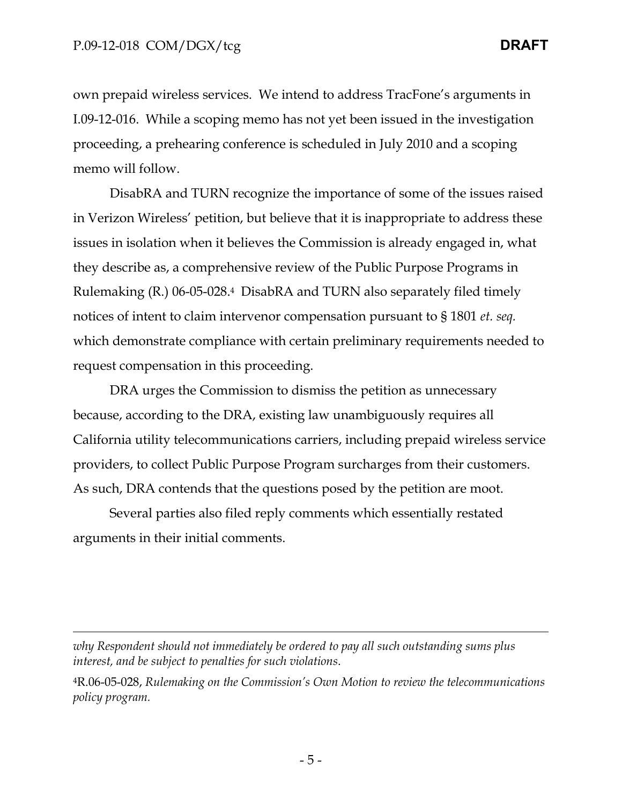$\overline{a}$ 

own prepaid wireless services. We intend to address TracFone's arguments in I.09-12-016. While a scoping memo has not yet been issued in the investigation proceeding, a prehearing conference is scheduled in July 2010 and a scoping memo will follow.

DisabRA and TURN recognize the importance of some of the issues raised in Verizon Wireless' petition, but believe that it is inappropriate to address these issues in isolation when it believes the Commission is already engaged in, what they describe as, a comprehensive review of the Public Purpose Programs in Rulemaking (R.) 06-05-028.4 DisabRA and TURN also separately filed timely notices of intent to claim intervenor compensation pursuant to § 1801 *et. seq.* which demonstrate compliance with certain preliminary requirements needed to request compensation in this proceeding.

DRA urges the Commission to dismiss the petition as unnecessary because, according to the DRA, existing law unambiguously requires all California utility telecommunications carriers, including prepaid wireless service providers, to collect Public Purpose Program surcharges from their customers. As such, DRA contends that the questions posed by the petition are moot.

Several parties also filed reply comments which essentially restated arguments in their initial comments.

*why Respondent should not immediately be ordered to pay all such outstanding sums plus interest, and be subject to penalties for such violations*.

4R.06-05-028, *Rulemaking on the Commission's Own Motion to review the telecommunications policy program.*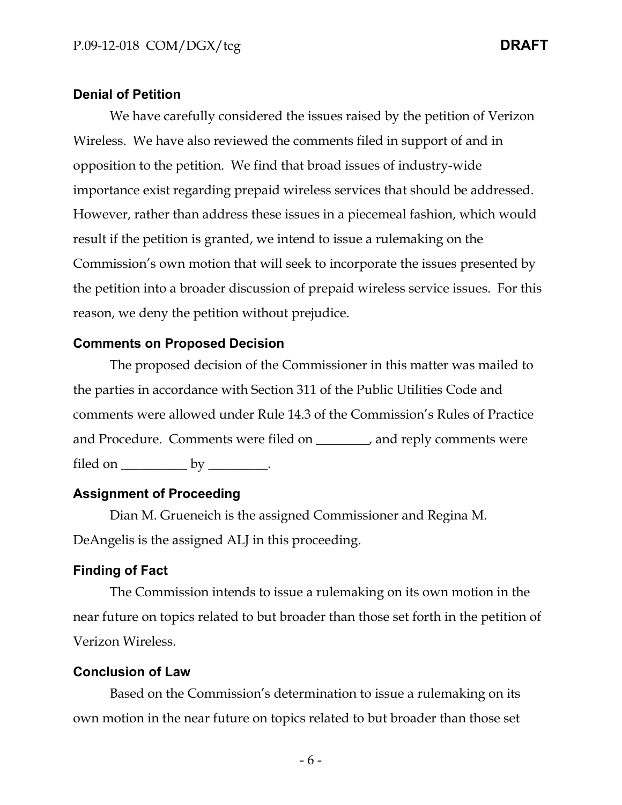#### **Denial of Petition**

We have carefully considered the issues raised by the petition of Verizon Wireless. We have also reviewed the comments filed in support of and in opposition to the petition. We find that broad issues of industry-wide importance exist regarding prepaid wireless services that should be addressed. However, rather than address these issues in a piecemeal fashion, which would result if the petition is granted, we intend to issue a rulemaking on the Commission's own motion that will seek to incorporate the issues presented by the petition into a broader discussion of prepaid wireless service issues. For this reason, we deny the petition without prejudice.

### **Comments on Proposed Decision**

The proposed decision of the Commissioner in this matter was mailed to the parties in accordance with Section 311 of the Public Utilities Code and comments were allowed under Rule 14.3 of the Commission's Rules of Practice and Procedure. Comments were filed on \_\_\_\_\_\_\_\_, and reply comments were filed on  $\rule{1em}{0.15mm}$  by  $\rule{1.15mm}{0.15mm}$ .

### **Assignment of Proceeding**

Dian M. Grueneich is the assigned Commissioner and Regina M. DeAngelis is the assigned ALJ in this proceeding.

### **Finding of Fact**

The Commission intends to issue a rulemaking on its own motion in the near future on topics related to but broader than those set forth in the petition of Verizon Wireless.

### **Conclusion of Law**

Based on the Commission's determination to issue a rulemaking on its own motion in the near future on topics related to but broader than those set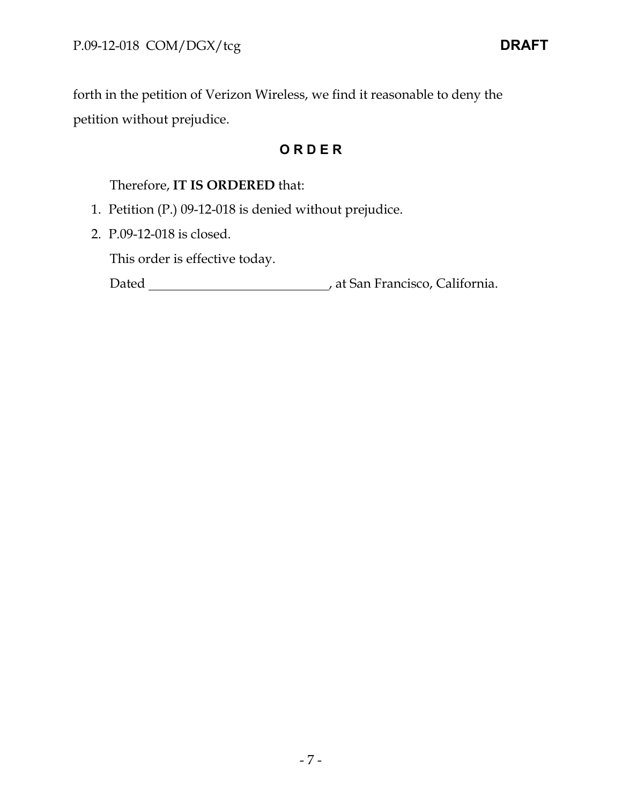forth in the petition of Verizon Wireless, we find it reasonable to deny the petition without prejudice.

## **O R D E R**

### Therefore, **IT IS ORDERED** that:

- 1. Petition (P.) 09-12-018 is denied without prejudice.
- 2. P.09-12-018 is closed.

This order is effective today.

Dated **Material Common Contract Contract Contract Contract Contract Contract Contract Contract Contract Contract Contract Contract Contract Contract Contract Contract Contract Contract Contract Contract Contract Contract C**